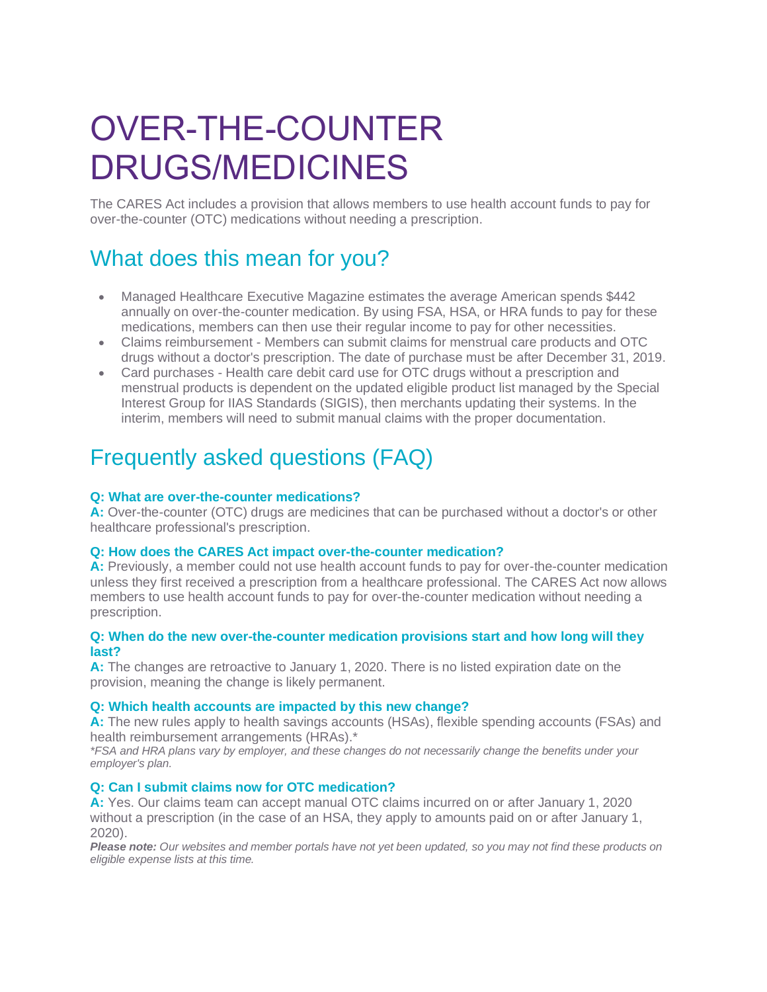# OVER-THE-COUNTER DRUGS/MEDICINES

The CARES Act includes a provision that allows members to use health account funds to pay for over-the-counter (OTC) medications without needing a prescription.

# What does this mean for you?

- Managed Healthcare Executive Magazine estimates the average American spends \$442 annually on over-the-counter medication. By using FSA, HSA, or HRA funds to pay for these medications, members can then use their regular income to pay for other necessities.
- Claims reimbursement Members can submit claims for menstrual care products and OTC drugs without a doctor's prescription. The date of purchase must be after December 31, 2019.
- Card purchases Health care debit card use for OTC drugs without a prescription and menstrual products is dependent on the updated eligible product list managed by the Special Interest Group for IIAS Standards (SIGIS), then merchants updating their systems. In the interim, members will need to submit manual claims with the proper documentation.

# Frequently asked questions (FAQ)

# **Q: What are over-the-counter medications?**

**A:** Over-the-counter (OTC) drugs are medicines that can be purchased without a doctor's or other healthcare professional's prescription.

# **Q: How does the CARES Act impact over-the-counter medication?**

**A:** Previously, a member could not use health account funds to pay for over-the-counter medication unless they first received a prescription from a healthcare professional. The CARES Act now allows members to use health account funds to pay for over-the-counter medication without needing a prescription.

#### **Q: When do the new over-the-counter medication provisions start and how long will they last?**

**A:** The changes are retroactive to January 1, 2020. There is no listed expiration date on the provision, meaning the change is likely permanent.

# **Q: Which health accounts are impacted by this new change?**

**A:** The new rules apply to health savings accounts (HSAs), flexible spending accounts (FSAs) and health reimbursement arrangements (HRAs).\*

*\*FSA and HRA plans vary by employer, and these changes do not necessarily change the benefits under your employer's plan.*

# **Q: Can I submit claims now for OTC medication?**

**A:** Yes. Our claims team can accept manual OTC claims incurred on or after January 1, 2020 without a prescription (in the case of an HSA, they apply to amounts paid on or after January 1, 2020).

*Please note: Our websites and member portals have not yet been updated, so you may not find these products on eligible expense lists at this time.*